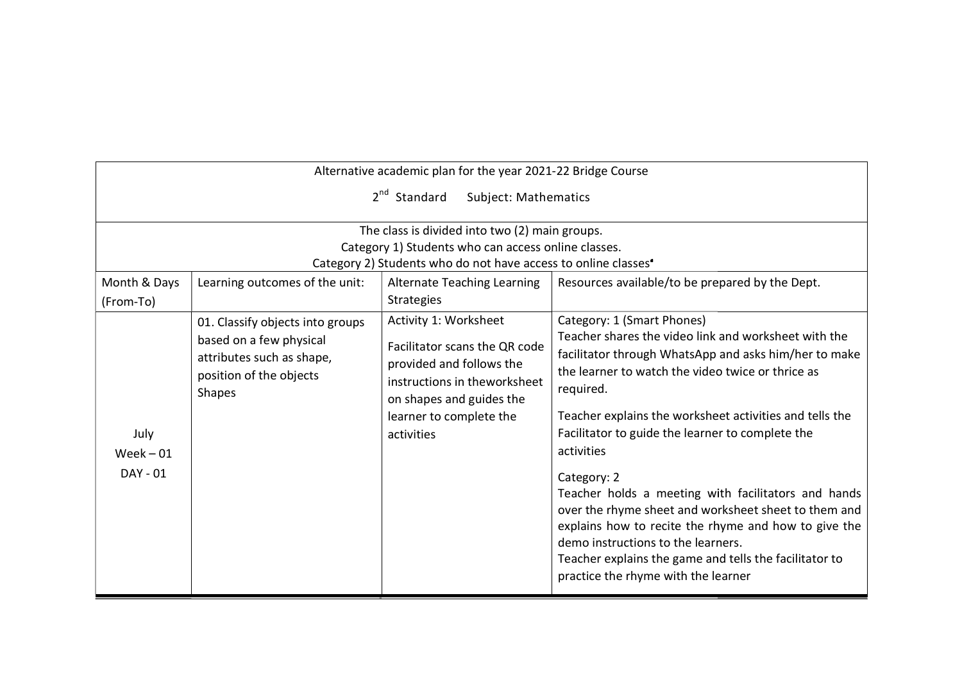|                                                                                                                                                                               | Alternative academic plan for the year 2021-22 Bridge Course                                                                                                                            |                                                                                                                                                                                                                                                                                                                                                                                                                                                                                                                                                                                                                                                                         |
|-------------------------------------------------------------------------------------------------------------------------------------------------------------------------------|-----------------------------------------------------------------------------------------------------------------------------------------------------------------------------------------|-------------------------------------------------------------------------------------------------------------------------------------------------------------------------------------------------------------------------------------------------------------------------------------------------------------------------------------------------------------------------------------------------------------------------------------------------------------------------------------------------------------------------------------------------------------------------------------------------------------------------------------------------------------------------|
|                                                                                                                                                                               | 2 <sup>nd</sup> Standard<br>Subject: Mathematics                                                                                                                                        |                                                                                                                                                                                                                                                                                                                                                                                                                                                                                                                                                                                                                                                                         |
|                                                                                                                                                                               | The class is divided into two (2) main groups.<br>Category 1) Students who can access online classes.<br>Category 2) Students who do not have access to online classes                  |                                                                                                                                                                                                                                                                                                                                                                                                                                                                                                                                                                                                                                                                         |
| Month & Days<br>Learning outcomes of the unit:                                                                                                                                | <b>Alternate Teaching Learning</b><br><b>Strategies</b>                                                                                                                                 | Resources available/to be prepared by the Dept.                                                                                                                                                                                                                                                                                                                                                                                                                                                                                                                                                                                                                         |
| (From-To)<br>01. Classify objects into groups<br>based on a few physical<br>attributes such as shape,<br>position of the objects<br>Shapes<br>July<br>$Week - 01$<br>DAY - 01 | Activity 1: Worksheet<br>Facilitator scans the QR code<br>provided and follows the<br>instructions in theworksheet<br>on shapes and guides the<br>learner to complete the<br>activities | Category: 1 (Smart Phones)<br>Teacher shares the video link and worksheet with the<br>facilitator through WhatsApp and asks him/her to make<br>the learner to watch the video twice or thrice as<br>required.<br>Teacher explains the worksheet activities and tells the<br>Facilitator to guide the learner to complete the<br>activities<br>Category: 2<br>Teacher holds a meeting with facilitators and hands<br>over the rhyme sheet and worksheet sheet to them and<br>explains how to recite the rhyme and how to give the<br>demo instructions to the learners.<br>Teacher explains the game and tells the facilitator to<br>practice the rhyme with the learner |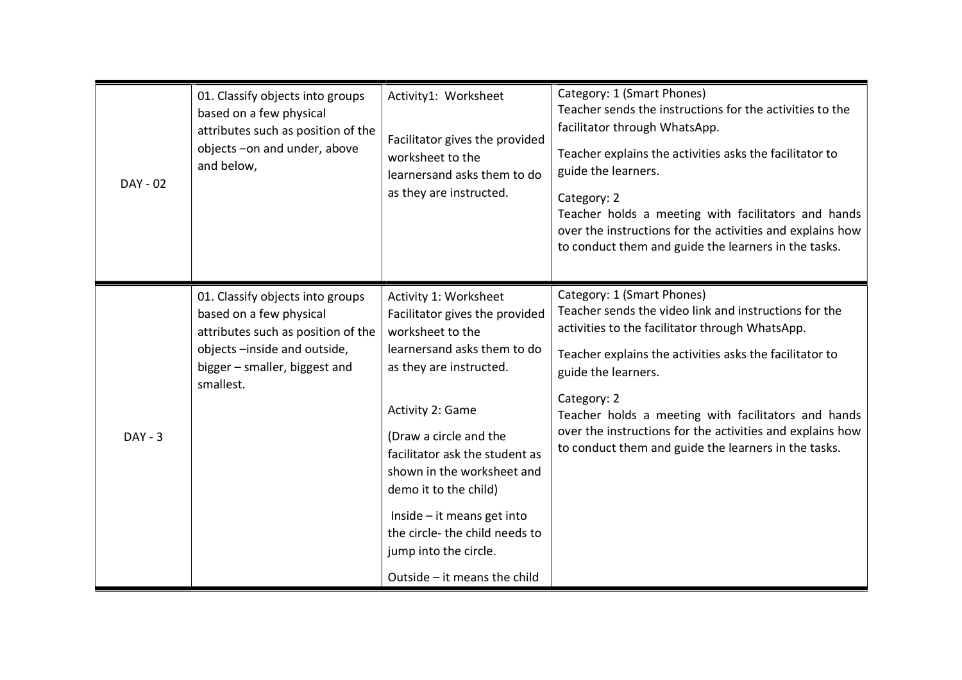| DAY - 02  | 01. Classify objects into groups<br>based on a few physical<br>attributes such as position of the<br>objects-on and under, above<br>and below,                                 | Activity1: Worksheet<br>Facilitator gives the provided<br>worksheet to the<br>learnersand asks them to do<br>as they are instructed.                                                                                                                                                                                                                                                                     | Category: 1 (Smart Phones)<br>Teacher sends the instructions for the activities to the<br>facilitator through WhatsApp.<br>Teacher explains the activities asks the facilitator to<br>guide the learners.<br>Category: 2<br>Teacher holds a meeting with facilitators and hands<br>over the instructions for the activities and explains how<br>to conduct them and guide the learners in the tasks.                |
|-----------|--------------------------------------------------------------------------------------------------------------------------------------------------------------------------------|----------------------------------------------------------------------------------------------------------------------------------------------------------------------------------------------------------------------------------------------------------------------------------------------------------------------------------------------------------------------------------------------------------|---------------------------------------------------------------------------------------------------------------------------------------------------------------------------------------------------------------------------------------------------------------------------------------------------------------------------------------------------------------------------------------------------------------------|
| $DAY - 3$ | 01. Classify objects into groups<br>based on a few physical<br>attributes such as position of the<br>objects-inside and outside,<br>bigger - smaller, biggest and<br>smallest. | Activity 1: Worksheet<br>Facilitator gives the provided<br>worksheet to the<br>learnersand asks them to do<br>as they are instructed.<br>Activity 2: Game<br>(Draw a circle and the<br>facilitator ask the student as<br>shown in the worksheet and<br>demo it to the child)<br>$Inside - it means get into$<br>the circle-the child needs to<br>jump into the circle.<br>Outside $-$ it means the child | Category: 1 (Smart Phones)<br>Teacher sends the video link and instructions for the<br>activities to the facilitator through WhatsApp.<br>Teacher explains the activities asks the facilitator to<br>guide the learners.<br>Category: 2<br>Teacher holds a meeting with facilitators and hands<br>over the instructions for the activities and explains how<br>to conduct them and guide the learners in the tasks. |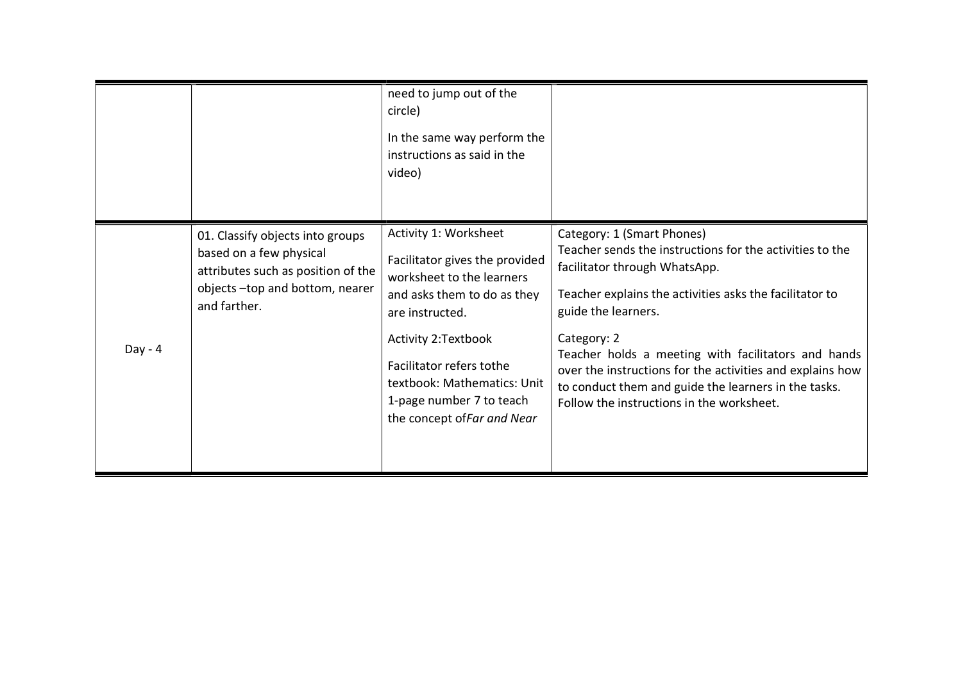|           |                                                                                                                                                     | need to jump out of the<br>circle)<br>In the same way perform the<br>instructions as said in the<br>video)                                                                                                                                                                          |                                                                                                                                                                                                                                                                                                                                                                                                                                                   |
|-----------|-----------------------------------------------------------------------------------------------------------------------------------------------------|-------------------------------------------------------------------------------------------------------------------------------------------------------------------------------------------------------------------------------------------------------------------------------------|---------------------------------------------------------------------------------------------------------------------------------------------------------------------------------------------------------------------------------------------------------------------------------------------------------------------------------------------------------------------------------------------------------------------------------------------------|
| $Day - 4$ | 01. Classify objects into groups<br>based on a few physical<br>attributes such as position of the<br>objects-top and bottom, nearer<br>and farther. | Activity 1: Worksheet<br>Facilitator gives the provided<br>worksheet to the learners<br>and asks them to do as they<br>are instructed.<br>Activity 2:Textbook<br>Facilitator refers tothe<br>textbook: Mathematics: Unit<br>1-page number 7 to teach<br>the concept of Far and Near | Category: 1 (Smart Phones)<br>Teacher sends the instructions for the activities to the<br>facilitator through WhatsApp.<br>Teacher explains the activities asks the facilitator to<br>guide the learners.<br>Category: 2<br>Teacher holds a meeting with facilitators and hands<br>over the instructions for the activities and explains how<br>to conduct them and guide the learners in the tasks.<br>Follow the instructions in the worksheet. |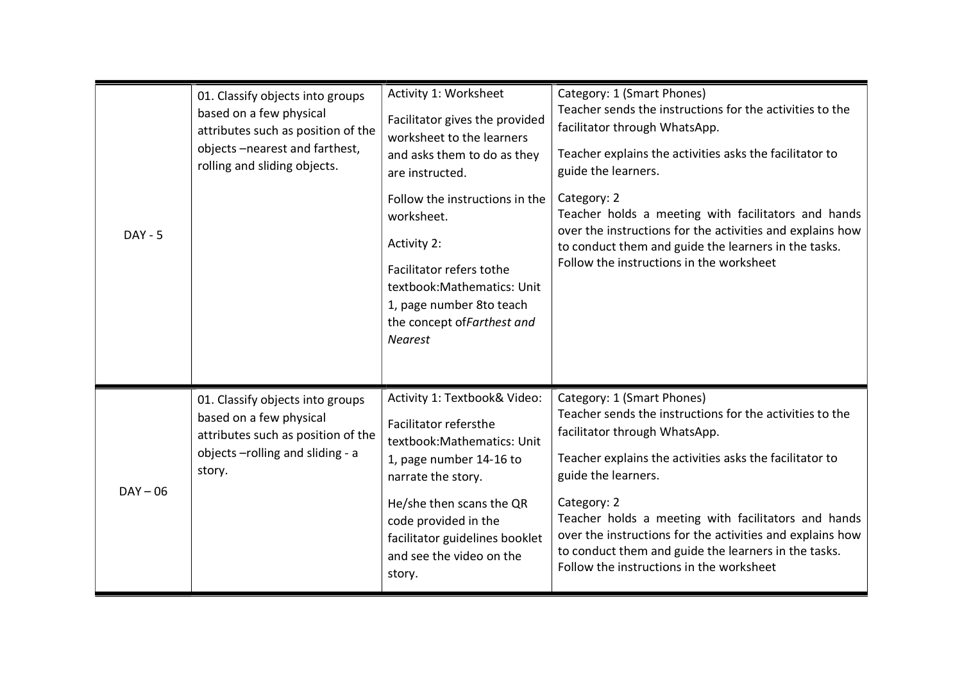|            | 01. Classify objects into groups<br>based on a few physical<br>attributes such as position of the<br>objects-nearest and farthest,<br>rolling and sliding objects. | Activity 1: Worksheet<br>Facilitator gives the provided<br>worksheet to the learners<br>and asks them to do as they<br>are instructed.                                                                                                                            | Category: 1 (Smart Phones)<br>Teacher sends the instructions for the activities to the<br>facilitator through WhatsApp.<br>Teacher explains the activities asks the facilitator to<br>guide the learners.                                                                                                                                                                                                                                        |
|------------|--------------------------------------------------------------------------------------------------------------------------------------------------------------------|-------------------------------------------------------------------------------------------------------------------------------------------------------------------------------------------------------------------------------------------------------------------|--------------------------------------------------------------------------------------------------------------------------------------------------------------------------------------------------------------------------------------------------------------------------------------------------------------------------------------------------------------------------------------------------------------------------------------------------|
| $DAY - 5$  |                                                                                                                                                                    | Follow the instructions in the<br>worksheet.<br>Activity 2:<br>Facilitator refers tothe<br>textbook: Mathematics: Unit<br>1, page number 8to teach<br>the concept of Farthest and<br><b>Nearest</b>                                                               | Category: 2<br>Teacher holds a meeting with facilitators and hands<br>over the instructions for the activities and explains how<br>to conduct them and guide the learners in the tasks.<br>Follow the instructions in the worksheet                                                                                                                                                                                                              |
| $DAY - 06$ | 01. Classify objects into groups<br>based on a few physical<br>attributes such as position of the<br>objects-rolling and sliding - a<br>story.                     | Activity 1: Textbook& Video:<br>Facilitator refersthe<br>textbook: Mathematics: Unit<br>1, page number 14-16 to<br>narrate the story.<br>He/she then scans the QR<br>code provided in the<br>facilitator guidelines booklet<br>and see the video on the<br>story. | Category: 1 (Smart Phones)<br>Teacher sends the instructions for the activities to the<br>facilitator through WhatsApp.<br>Teacher explains the activities asks the facilitator to<br>guide the learners.<br>Category: 2<br>Teacher holds a meeting with facilitators and hands<br>over the instructions for the activities and explains how<br>to conduct them and guide the learners in the tasks.<br>Follow the instructions in the worksheet |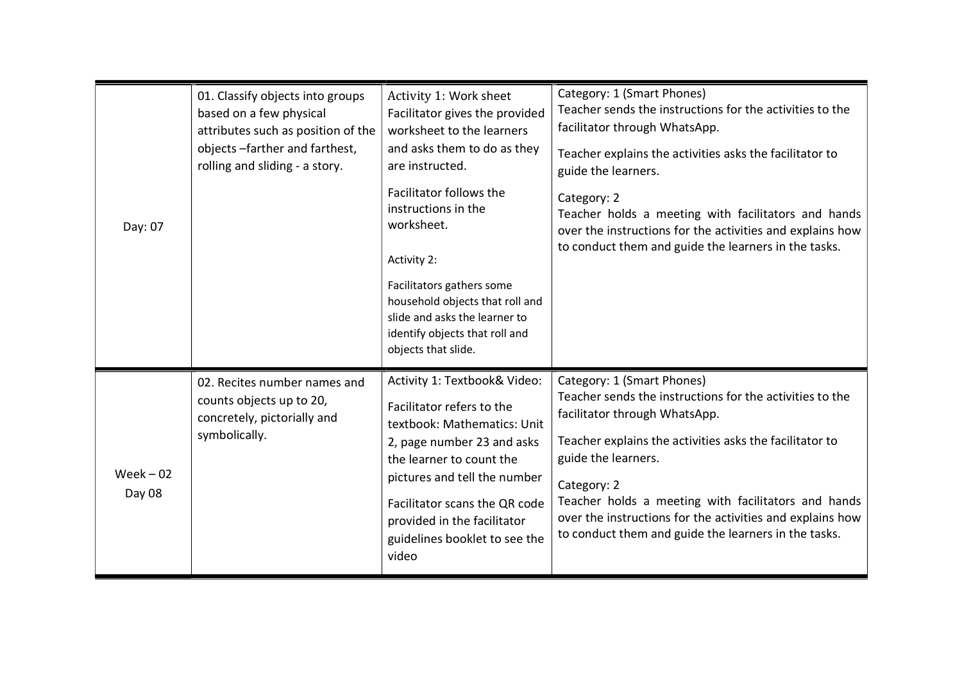| Day: 07               | 01. Classify objects into groups<br>based on a few physical<br>attributes such as position of the<br>objects-farther and farthest,<br>rolling and sliding - a story. | Activity 1: Work sheet<br>Facilitator gives the provided<br>worksheet to the learners<br>and asks them to do as they<br>are instructed.<br>Facilitator follows the<br>instructions in the<br>worksheet.<br>Activity 2:<br>Facilitators gathers some<br>household objects that roll and<br>slide and asks the learner to<br>identify objects that roll and<br>objects that slide. | Category: 1 (Smart Phones)<br>Teacher sends the instructions for the activities to the<br>facilitator through WhatsApp.<br>Teacher explains the activities asks the facilitator to<br>guide the learners.<br>Category: 2<br>Teacher holds a meeting with facilitators and hands<br>over the instructions for the activities and explains how<br>to conduct them and guide the learners in the tasks. |
|-----------------------|----------------------------------------------------------------------------------------------------------------------------------------------------------------------|----------------------------------------------------------------------------------------------------------------------------------------------------------------------------------------------------------------------------------------------------------------------------------------------------------------------------------------------------------------------------------|------------------------------------------------------------------------------------------------------------------------------------------------------------------------------------------------------------------------------------------------------------------------------------------------------------------------------------------------------------------------------------------------------|
| $Week - 02$<br>Day 08 | 02. Recites number names and<br>counts objects up to 20,<br>concretely, pictorially and<br>symbolically.                                                             | Activity 1: Textbook& Video:<br>Facilitator refers to the<br>textbook: Mathematics: Unit<br>2, page number 23 and asks<br>the learner to count the<br>pictures and tell the number<br>Facilitator scans the QR code<br>provided in the facilitator<br>guidelines booklet to see the<br>video                                                                                     | Category: 1 (Smart Phones)<br>Teacher sends the instructions for the activities to the<br>facilitator through WhatsApp.<br>Teacher explains the activities asks the facilitator to<br>guide the learners.<br>Category: 2<br>Teacher holds a meeting with facilitators and hands<br>over the instructions for the activities and explains how<br>to conduct them and guide the learners in the tasks. |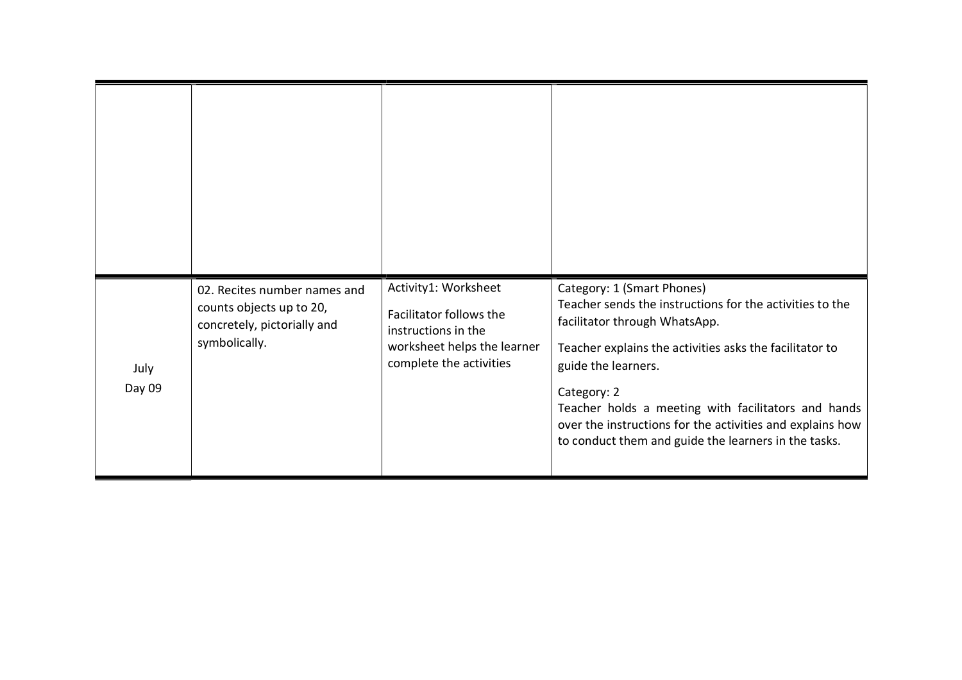| July<br>Day 09 | 02. Recites number names and<br>counts objects up to 20,<br>concretely, pictorially and<br>symbolically. | Activity1: Worksheet<br>Facilitator follows the<br>instructions in the<br>worksheet helps the learner<br>complete the activities | Category: 1 (Smart Phones)<br>Teacher sends the instructions for the activities to the<br>facilitator through WhatsApp.<br>Teacher explains the activities asks the facilitator to<br>guide the learners.<br>Category: 2<br>Teacher holds a meeting with facilitators and hands<br>over the instructions for the activities and explains how<br>to conduct them and guide the learners in the tasks. |
|----------------|----------------------------------------------------------------------------------------------------------|----------------------------------------------------------------------------------------------------------------------------------|------------------------------------------------------------------------------------------------------------------------------------------------------------------------------------------------------------------------------------------------------------------------------------------------------------------------------------------------------------------------------------------------------|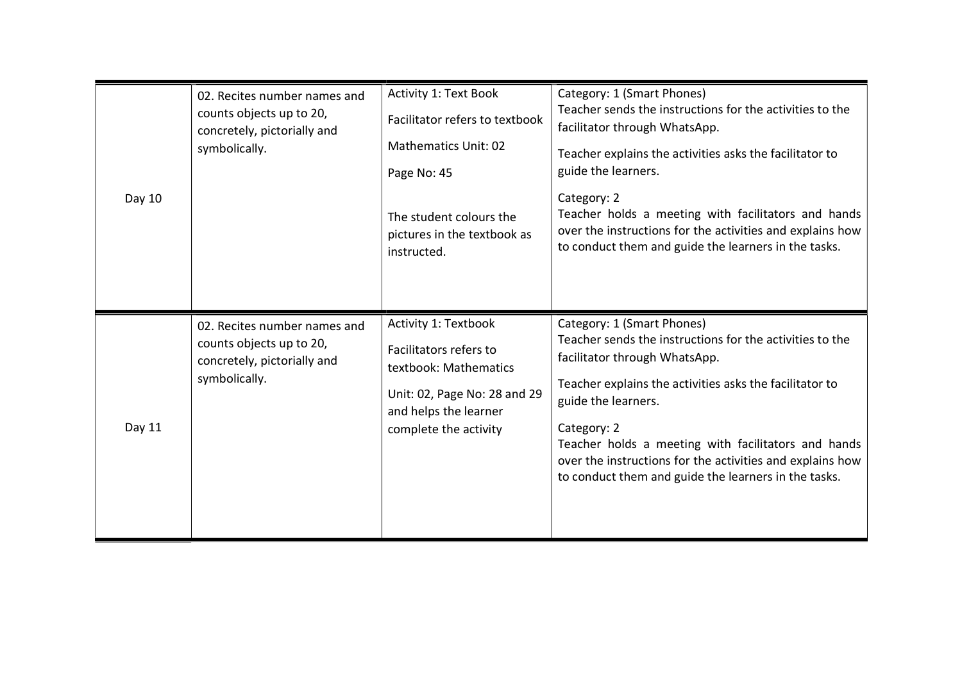|        | 02. Recites number names and<br>counts objects up to 20,<br>concretely, pictorially and<br>symbolically. | <b>Activity 1: Text Book</b><br>Facilitator refers to textbook<br><b>Mathematics Unit: 02</b><br>Page No: 45                                              | Category: 1 (Smart Phones)<br>Teacher sends the instructions for the activities to the<br>facilitator through WhatsApp.<br>Teacher explains the activities asks the facilitator to<br>guide the learners.                                                                                                                                                                                            |
|--------|----------------------------------------------------------------------------------------------------------|-----------------------------------------------------------------------------------------------------------------------------------------------------------|------------------------------------------------------------------------------------------------------------------------------------------------------------------------------------------------------------------------------------------------------------------------------------------------------------------------------------------------------------------------------------------------------|
| Day 10 |                                                                                                          | The student colours the<br>pictures in the textbook as<br>instructed.                                                                                     | Category: 2<br>Teacher holds a meeting with facilitators and hands<br>over the instructions for the activities and explains how<br>to conduct them and guide the learners in the tasks.                                                                                                                                                                                                              |
| Day 11 | 02. Recites number names and<br>counts objects up to 20,<br>concretely, pictorially and<br>symbolically. | Activity 1: Textbook<br>Facilitators refers to<br>textbook: Mathematics<br>Unit: 02, Page No: 28 and 29<br>and helps the learner<br>complete the activity | Category: 1 (Smart Phones)<br>Teacher sends the instructions for the activities to the<br>facilitator through WhatsApp.<br>Teacher explains the activities asks the facilitator to<br>guide the learners.<br>Category: 2<br>Teacher holds a meeting with facilitators and hands<br>over the instructions for the activities and explains how<br>to conduct them and guide the learners in the tasks. |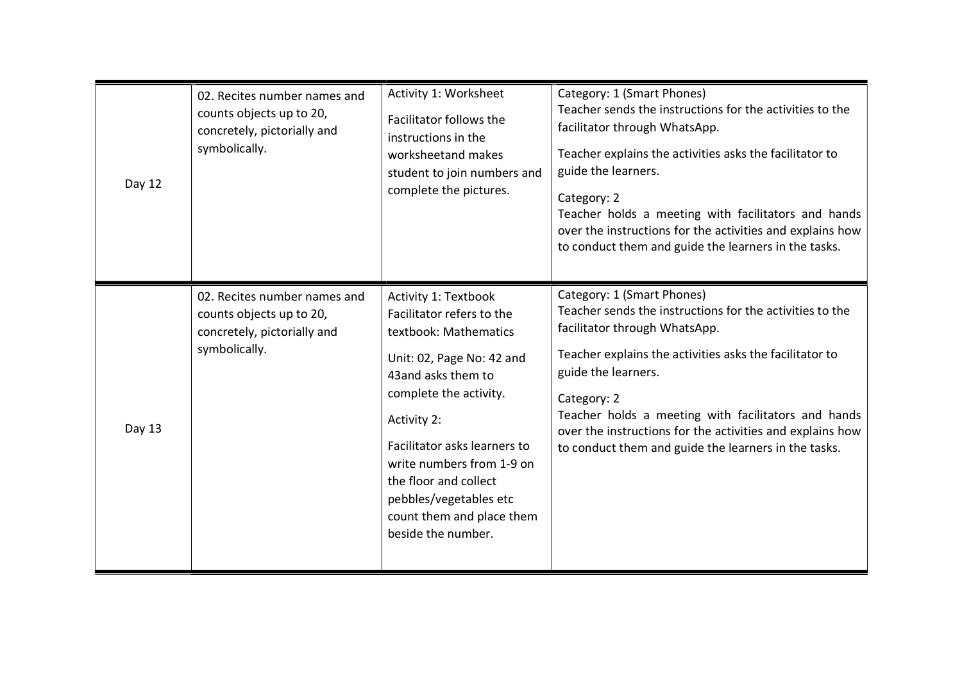| Day 12 | 02. Recites number names and<br>counts objects up to 20,<br>concretely, pictorially and<br>symbolically. | Activity 1: Worksheet<br>Facilitator follows the<br>instructions in the<br>worksheetand makes<br>student to join numbers and<br>complete the pictures.                                                                                                                                                                                            | Category: 1 (Smart Phones)<br>Teacher sends the instructions for the activities to the<br>facilitator through WhatsApp.<br>Teacher explains the activities asks the facilitator to<br>guide the learners.<br>Category: 2<br>Teacher holds a meeting with facilitators and hands<br>over the instructions for the activities and explains how<br>to conduct them and guide the learners in the tasks. |
|--------|----------------------------------------------------------------------------------------------------------|---------------------------------------------------------------------------------------------------------------------------------------------------------------------------------------------------------------------------------------------------------------------------------------------------------------------------------------------------|------------------------------------------------------------------------------------------------------------------------------------------------------------------------------------------------------------------------------------------------------------------------------------------------------------------------------------------------------------------------------------------------------|
| Day 13 | 02. Recites number names and<br>counts objects up to 20,<br>concretely, pictorially and<br>symbolically. | <b>Activity 1: Textbook</b><br>Facilitator refers to the<br>textbook: Mathematics<br>Unit: 02, Page No: 42 and<br>43 and asks them to<br>complete the activity.<br>Activity 2:<br>Facilitator asks learners to<br>write numbers from 1-9 on<br>the floor and collect<br>pebbles/vegetables etc<br>count them and place them<br>beside the number. | Category: 1 (Smart Phones)<br>Teacher sends the instructions for the activities to the<br>facilitator through WhatsApp.<br>Teacher explains the activities asks the facilitator to<br>guide the learners.<br>Category: 2<br>Teacher holds a meeting with facilitators and hands<br>over the instructions for the activities and explains how<br>to conduct them and guide the learners in the tasks. |